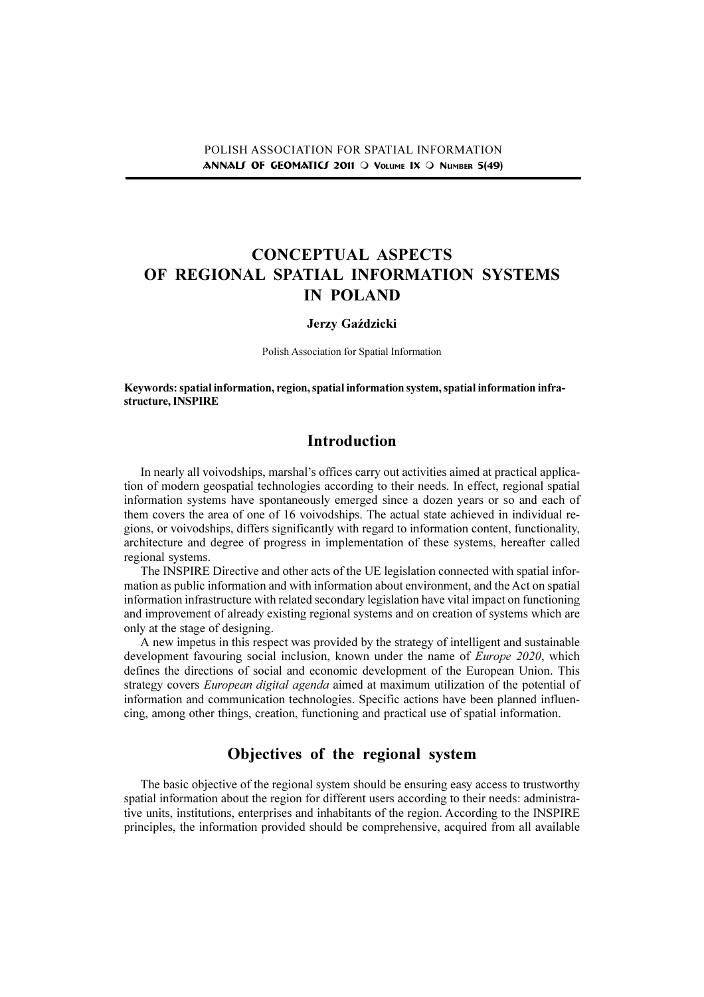# CONCEPTUAL ASPECTS OF REGIONAL SPATIAL INFORMATION SYSTEMS IN POLAND

#### Jerzy Gaździcki

Polish Association for Spatial Information

Keywords: spatial information, region, spatial information system, spatial information infrastructure, INSPIRE

### Introduction

In nearly all voivodships, marshal's offices carry out activities aimed at practical application of modern geospatial technologies according to their needs. In effect, regional spatial information systems have spontaneously emerged since a dozen years or so and each of them covers the area of one of 16 voivodships. The actual state achieved in individual regions, or voivodships, differs significantly with regard to information content, functionality, architecture and degree of progress in implementation of these systems, hereafter called regional systems.

The INSPIRE Directive and other acts of the UE legislation connected with spatial information as public information and with information about environment, and the Act on spatial information infrastructure with related secondary legislation have vital impact on functioning and improvement of already existing regional systems and on creation of systems which are only at the stage of designing.

A new impetus in this respect was provided by the strategy of intelligent and sustainable development favouring social inclusion, known under the name of *Europe 2020*, which defines the directions of social and economic development of the European Union. This strategy covers *European digital agenda* aimed at maximum utilization of the potential of information and communication technologies. Specific actions have been planned influencing, among other things, creation, functioning and practical use of spatial information.

## Objectives of the regional system

The basic objective of the regional system should be ensuring easy access to trustworthy spatial information about the region for different users according to their needs: administrative units, institutions, enterprises and inhabitants of the region. According to the INSPIRE principles, the information provided should be comprehensive, acquired from all available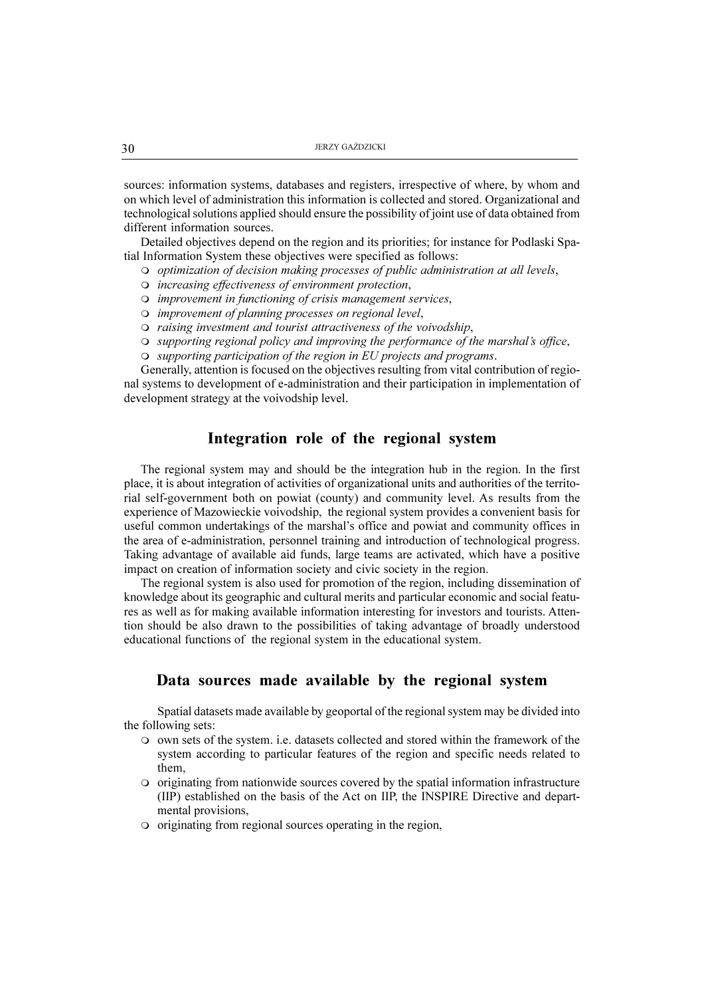sources: information systems, databases and registers, irrespective of where, by whom and on which level of administration this information is collected and stored. Organizational and technological solutions applied should ensure the possibility of joint use of data obtained from different information sources.

Detailed objectives depend on the region and its priorities; for instance for Podlaski Spatial Information System these objectives were specified as follows:

- O optimization of decision making processes of public administration at all levels,
- O increasing effectiveness of environment protection,
- $\Omega$  improvement in functioning of crisis management services,
- O improvement of planning processes on regional level,
- $\circ$  raising investment and tourist attractiveness of the voivodship,
- $\circ$  supporting regional policy and improving the performance of the marshal's office,
- $\circ$  supporting participation of the region in EU projects and programs.

Generally, attention is focused on the objectives resulting from vital contribution of regional systems to development of e-administration and their participation in implementation of development strategy at the voivodship level.

#### Integration role of the regional system

The regional system may and should be the integration hub in the region. In the first place, it is about integration of activities of organizational units and authorities of the territorial self-government both on powiat (county) and community level. As results from the experience of Mazowieckie voivodship, the regional system provides a convenient basis for useful common undertakings of the marshal's office and powiat and community offices in the area of e-administration, personnel training and introduction of technological progress. Taking advantage of available aid funds, large teams are activated, which have a positive impact on creation of information society and civic society in the region.

The regional system is also used for promotion of the region, including dissemination of knowledge about its geographic and cultural merits and particular economic and social features as well as for making available information interesting for investors and tourists. Attention should be also drawn to the possibilities of taking advantage of broadly understood educational functions of the regional system in the educational system.

### Data sources made available by the regional system

Spatial datasets made available by geoportal of the regional system may be divided into the following sets:

- m own sets of the system. i.e. datasets collected and stored within the framework of the system according to particular features of the region and specific needs related to them,
- $\circ$  originating from nationwide sources covered by the spatial information infrastructure (IIP) established on the basis of the Act on IIP, the INSPIRE Directive and departmental provisions,
- $\circ$  originating from regional sources operating in the region,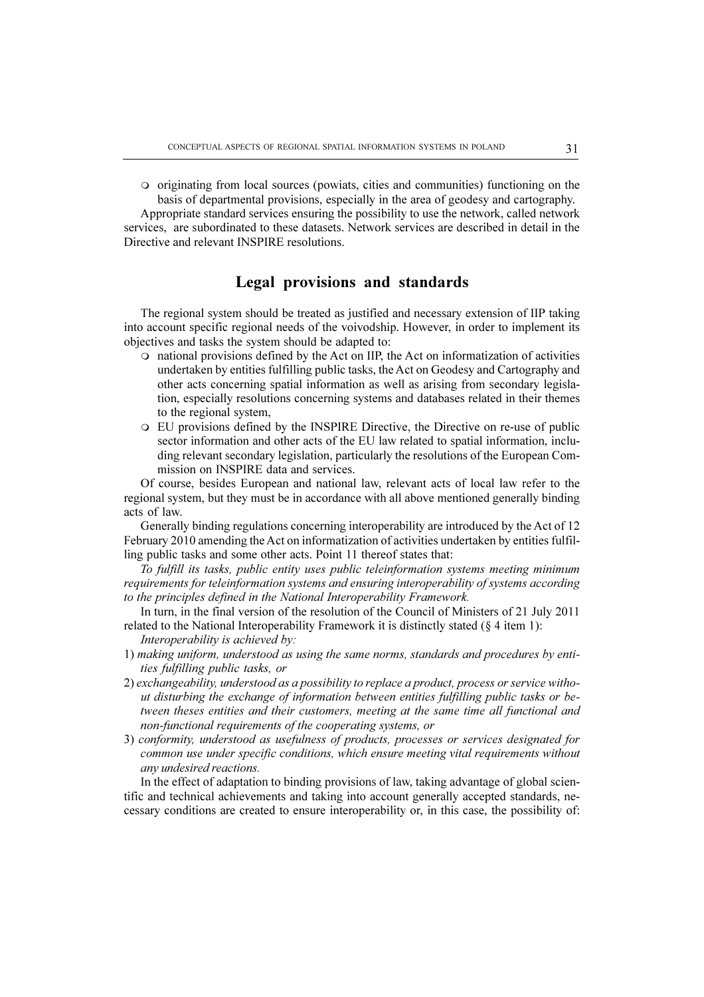m originating from local sources (powiats, cities and communities) functioning on the basis of departmental provisions, especially in the area of geodesy and cartography.

Appropriate standard services ensuring the possibility to use the network, called network services, are subordinated to these datasets. Network services are described in detail in the Directive and relevant INSPIRE resolutions.

### Legal provisions and standards

The regional system should be treated as justified and necessary extension of IIP taking into account specific regional needs of the voivodship. However, in order to implement its objectives and tasks the system should be adapted to:

- $\circ$  national provisions defined by the Act on IIP, the Act on informatization of activities undertaken by entities fulfilling public tasks, the Act on Geodesy and Cartography and other acts concerning spatial information as well as arising from secondary legislation, especially resolutions concerning systems and databases related in their themes to the regional system,
- m EU provisions defined by the INSPIRE Directive, the Directive on re-use of public sector information and other acts of the EU law related to spatial information, including relevant secondary legislation, particularly the resolutions of the European Commission on INSPIRE data and services.

Of course, besides European and national law, relevant acts of local law refer to the regional system, but they must be in accordance with all above mentioned generally binding acts of law.

Generally binding regulations concerning interoperability are introduced by the Act of 12 February 2010 amending the Act on informatization of activities undertaken by entities fulfilling public tasks and some other acts. Point 11 thereof states that:

To fulfill its tasks, public entity uses public teleinformation systems meeting minimum requirements for teleinformation systems and ensuring interoperability of systems according to the principles defined in the National Interoperability Framework.

In turn, in the final version of the resolution of the Council of Ministers of 21 July 2011 related to the National Interoperability Framework it is distinctly stated  $(\S 4$  item 1):

- Interoperability is achieved by:
- 1) making uniform, understood as using the same norms, standards and procedures by entities fulfilling public tasks, or
- 2) exchangeability, understood as a possibility to replace a product, process or service without disturbing the exchange of information between entities fulfilling public tasks or between theses entities and their customers, meeting at the same time all functional and non-functional requirements of the cooperating systems, or
- 3) conformity, understood as usefulness of products, processes or services designated for common use under specific conditions, which ensure meeting vital requirements without any undesired reactions.

In the effect of adaptation to binding provisions of law, taking advantage of global scientific and technical achievements and taking into account generally accepted standards, necessary conditions are created to ensure interoperability or, in this case, the possibility of: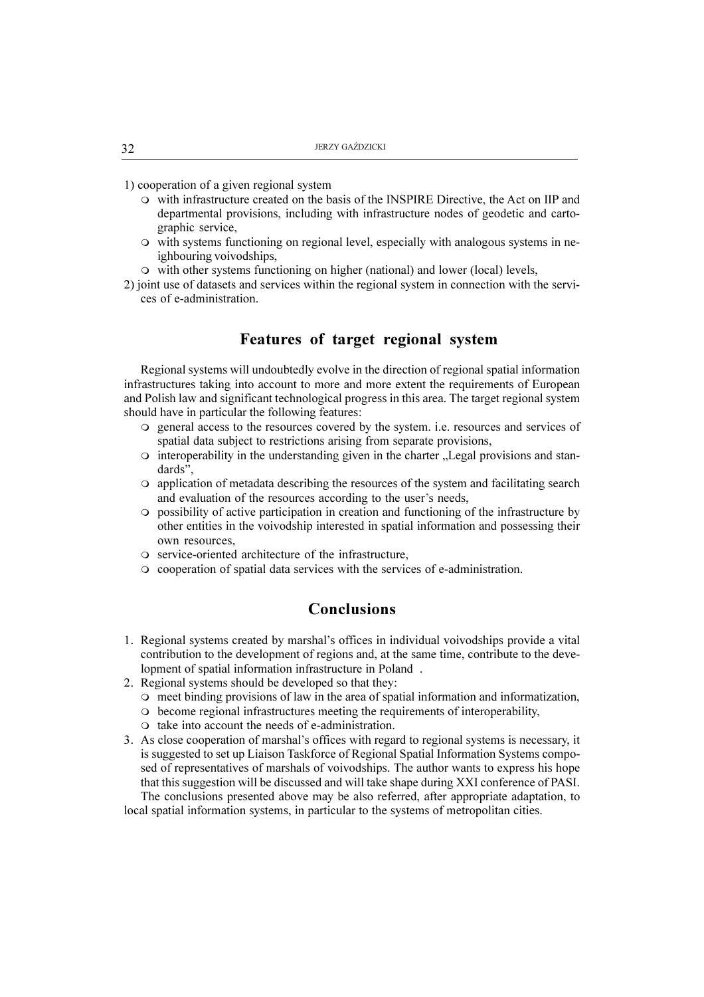1) cooperation of a given regional system

- $\circ$  with infrastructure created on the basis of the INSPIRE Directive, the Act on IIP and departmental provisions, including with infrastructure nodes of geodetic and cartographic service,
- $\circ$  with systems functioning on regional level, especially with analogous systems in neighbouring voivodships,
- $\circ$  with other systems functioning on higher (national) and lower (local) levels,
- 2) joint use of datasets and services within the regional system in connection with the services of e-administration.

#### Features of target regional system

Regional systems will undoubtedly evolve in the direction of regional spatial information infrastructures taking into account to more and more extent the requirements of European and Polish law and significant technological progress in this area. The target regional system should have in particular the following features:

- m general access to the resources covered by the system. i.e. resources and services of spatial data subject to restrictions arising from separate provisions,
- $\circ$  interoperability in the understanding given in the charter . Legal provisions and standards".
- m application of metadata describing the resources of the system and facilitating search and evaluation of the resources according to the user's needs,
- m possibility of active participation in creation and functioning of the infrastructure by other entities in the voivodship interested in spatial information and possessing their own resources,
- o service-oriented architecture of the infrastructure,
- m cooperation of spatial data services with the services of e-administration.

### Conclusions

- 1. Regional systems created by marshal's offices in individual voivodships provide a vital contribution to the development of regions and, at the same time, contribute to the development of spatial information infrastructure in Poland .
- 2. Regional systems should be developed so that they:
	- $\circ$  meet binding provisions of law in the area of spatial information and informatization,
	- m become regional infrastructures meeting the requirements of interoperability,
	- $\circ$  take into account the needs of e-administration.
- 3. As close cooperation of marshal's offices with regard to regional systems is necessary, it is suggested to set up Liaison Taskforce of Regional Spatial Information Systems composed of representatives of marshals of voivodships. The author wants to express his hope that this suggestion will be discussed and will take shape during XXI conference of PASI. The conclusions presented above may be also referred, after appropriate adaptation, to

local spatial information systems, in particular to the systems of metropolitan cities.